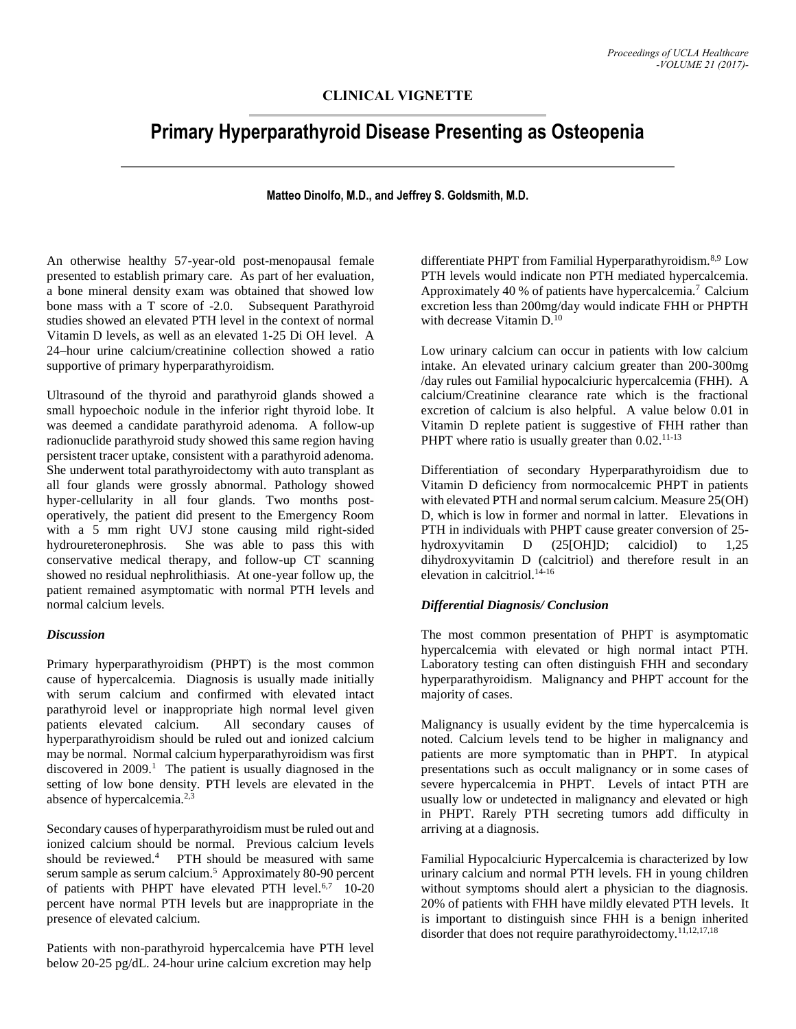# **CLINICAL VIGNETTE**

# **Primary Hyperparathyroid Disease Presenting as Osteopenia**

#### **Matteo Dinolfo, M.D., and Jeffrey S. Goldsmith, M.D.**

An otherwise healthy 57-year-old post-menopausal female presented to establish primary care. As part of her evaluation, a bone mineral density exam was obtained that showed low bone mass with a T score of -2.0. Subsequent Parathyroid studies showed an elevated PTH level in the context of normal Vitamin D levels, as well as an elevated 1-25 Di OH level. A 24–hour urine calcium/creatinine collection showed a ratio supportive of primary hyperparathyroidism.

Ultrasound of the thyroid and parathyroid glands showed a small hypoechoic nodule in the inferior right thyroid lobe. It was deemed a candidate parathyroid adenoma. A follow-up radionuclide parathyroid study showed this same region having persistent tracer uptake, consistent with a parathyroid adenoma. She underwent total parathyroidectomy with auto transplant as all four glands were grossly abnormal. Pathology showed hyper-cellularity in all four glands. Two months postoperatively, the patient did present to the Emergency Room with a 5 mm right UVJ stone causing mild right-sided hydroureteronephrosis. She was able to pass this with conservative medical therapy, and follow-up CT scanning showed no residual nephrolithiasis. At one-year follow up, the patient remained asymptomatic with normal PTH levels and normal calcium levels.

### *Discussion*

Primary hyperparathyroidism (PHPT) is the most common cause of hypercalcemia. Diagnosis is usually made initially with serum calcium and confirmed with elevated intact parathyroid level or inappropriate high normal level given patients elevated calcium. All secondary causes of hyperparathyroidism should be ruled out and ionized calcium may be normal. Normal calcium hyperparathyroidism was first discovered in  $2009$ .<sup>1</sup> The patient is usually diagnosed in the setting of low bone density. PTH levels are elevated in the absence of hypercalcemia.<sup>2,3</sup>

Secondary causes of hyperparathyroidism must be ruled out and ionized calcium should be normal. Previous calcium levels should be reviewed.<sup>4</sup> PTH should be measured with same serum sample as serum calcium.<sup>5</sup> Approximately 80-90 percent of patients with PHPT have elevated PTH level.<sup>6,7</sup> 10-20 percent have normal PTH levels but are inappropriate in the presence of elevated calcium.

Patients with non-parathyroid hypercalcemia have PTH level below 20-25 pg/dL. 24-hour urine calcium excretion may help

differentiate PHPT from Familial Hyperparathyroidism.<sup>8,9</sup> Low PTH levels would indicate non PTH mediated hypercalcemia. Approximately 40 % of patients have hypercalcemia.<sup>7</sup> Calcium excretion less than 200mg/day would indicate FHH or PHPTH with decrease Vitamin D.<sup>10</sup>

Low urinary calcium can occur in patients with low calcium intake. An elevated urinary calcium greater than 200-300mg /day rules out Familial hypocalciuric hypercalcemia (FHH). A calcium/Creatinine clearance rate which is the fractional excretion of calcium is also helpful. A value below 0.01 in Vitamin D replete patient is suggestive of FHH rather than PHPT where ratio is usually greater than  $0.02$ <sup>11-13</sup>

Differentiation of secondary Hyperparathyroidism due to Vitamin D deficiency from normocalcemic PHPT in patients with elevated PTH and normal serum calcium. Measure 25(OH) D, which is low in former and normal in latter. Elevations in PTH in individuals with PHPT cause greater conversion of 25 hydroxyvitamin D (25[OH]D; calcidiol) to 1,25 dihydroxyvitamin D (calcitriol) and therefore result in an elevation in calcitriol.14-16

#### *Differential Diagnosis/ Conclusion*

The most common presentation of PHPT is asymptomatic hypercalcemia with elevated or high normal intact PTH. Laboratory testing can often distinguish FHH and secondary hyperparathyroidism. Malignancy and PHPT account for the majority of cases.

Malignancy is usually evident by the time hypercalcemia is noted. Calcium levels tend to be higher in malignancy and patients are more symptomatic than in PHPT. In atypical presentations such as occult malignancy or in some cases of severe hypercalcemia in PHPT. Levels of intact PTH are usually low or undetected in malignancy and elevated or high in PHPT. Rarely PTH secreting tumors add difficulty in arriving at a diagnosis.

Familial Hypocalciuric Hypercalcemia is characterized by low urinary calcium and normal PTH levels. FH in young children without symptoms should alert a physician to the diagnosis. 20% of patients with FHH have mildly elevated PTH levels. It is important to distinguish since FHH is a benign inherited disorder that does not require parathyroidectomy.<sup>11,12,17,18</sup>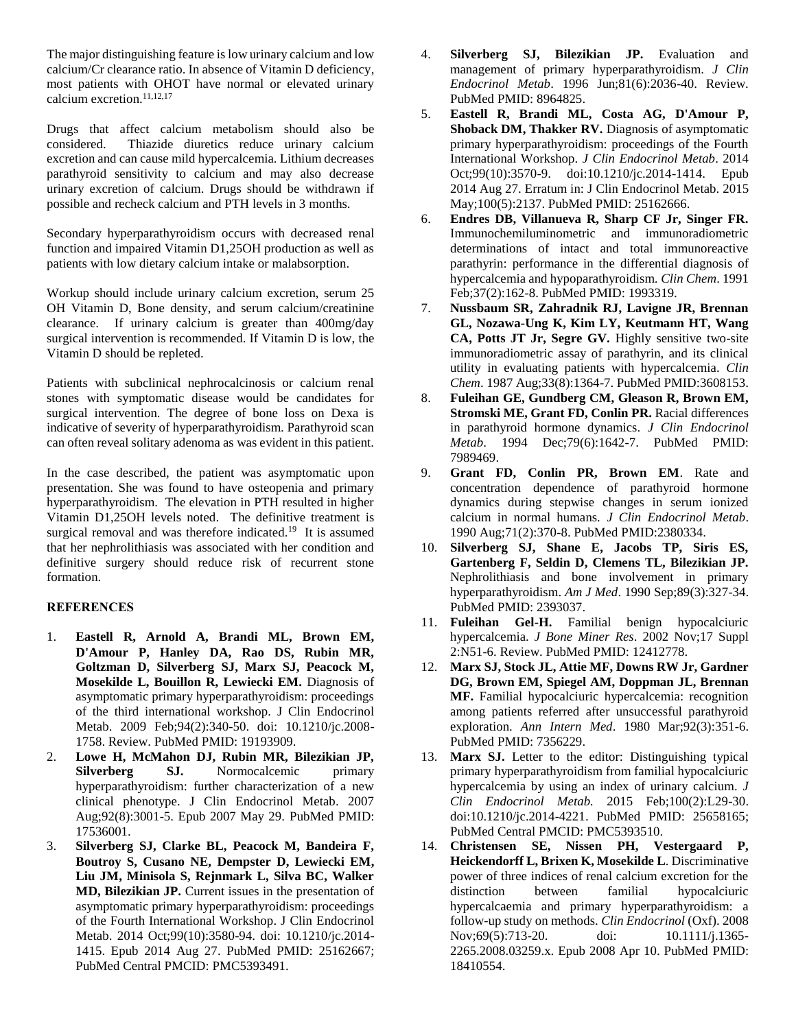The major distinguishing feature is low urinary calcium and low calcium/Cr clearance ratio. In absence of Vitamin D deficiency, most patients with OHOT have normal or elevated urinary calcium excretion.<sup>11,12,17</sup>

Drugs that affect calcium metabolism should also be considered. Thiazide diuretics reduce urinary calcium excretion and can cause mild hypercalcemia. Lithium decreases parathyroid sensitivity to calcium and may also decrease urinary excretion of calcium. Drugs should be withdrawn if possible and recheck calcium and PTH levels in 3 months.

Secondary hyperparathyroidism occurs with decreased renal function and impaired Vitamin D1,25OH production as well as patients with low dietary calcium intake or malabsorption.

Workup should include urinary calcium excretion, serum 25 OH Vitamin D, Bone density, and serum calcium/creatinine clearance. If urinary calcium is greater than 400mg/day surgical intervention is recommended. If Vitamin D is low, the Vitamin D should be repleted.

Patients with subclinical nephrocalcinosis or calcium renal stones with symptomatic disease would be candidates for surgical intervention. The degree of bone loss on Dexa is indicative of severity of hyperparathyroidism. Parathyroid scan can often reveal solitary adenoma as was evident in this patient.

In the case described, the patient was asymptomatic upon presentation. She was found to have osteopenia and primary hyperparathyroidism. The elevation in PTH resulted in higher Vitamin D1,25OH levels noted. The definitive treatment is surgical removal and was therefore indicated.<sup>19</sup> It is assumed that her nephrolithiasis was associated with her condition and definitive surgery should reduce risk of recurrent stone formation.

## **REFERENCES**

- 1. **Eastell R, Arnold A, Brandi ML, Brown EM, D'Amour P, Hanley DA, Rao DS, Rubin MR, Goltzman D, Silverberg SJ, Marx SJ, Peacock M, Mosekilde L, Bouillon R, Lewiecki EM.** Diagnosis of asymptomatic primary hyperparathyroidism: proceedings of the third international workshop. J Clin Endocrinol Metab. 2009 Feb;94(2):340-50. doi: 10.1210/jc.2008- 1758. Review. PubMed PMID: 19193909.
- 2. **Lowe H, McMahon DJ, Rubin MR, Bilezikian JP, Silverberg SJ.** Normocalcemic primary hyperparathyroidism: further characterization of a new clinical phenotype. J Clin Endocrinol Metab. 2007 Aug;92(8):3001-5. Epub 2007 May 29. PubMed PMID: 17536001.
- 3. **Silverberg SJ, Clarke BL, Peacock M, Bandeira F, Boutroy S, Cusano NE, Dempster D, Lewiecki EM, Liu JM, Minisola S, Rejnmark L, Silva BC, Walker MD, Bilezikian JP.** Current issues in the presentation of asymptomatic primary hyperparathyroidism: proceedings of the Fourth International Workshop. J Clin Endocrinol Metab. 2014 Oct;99(10):3580-94. doi: 10.1210/jc.2014- 1415. Epub 2014 Aug 27. PubMed PMID: 25162667; PubMed Central PMCID: PMC5393491.
- 4. **Silverberg SJ, Bilezikian JP.** Evaluation and management of primary hyperparathyroidism. *J Clin Endocrinol Metab*. 1996 Jun;81(6):2036-40. Review. PubMed PMID: 8964825.
- 5. **Eastell R, Brandi ML, Costa AG, D'Amour P, Shoback DM, Thakker RV.** Diagnosis of asymptomatic primary hyperparathyroidism: proceedings of the Fourth International Workshop. *J Clin Endocrinol Metab*. 2014 Oct;99(10):3570-9. doi:10.1210/jc.2014-1414. Epub 2014 Aug 27. Erratum in: J Clin Endocrinol Metab. 2015 May;100(5):2137. PubMed PMID: 25162666.
- 6. **Endres DB, Villanueva R, Sharp CF Jr, Singer FR.**  Immunochemiluminometric and immunoradiometric determinations of intact and total immunoreactive parathyrin: performance in the differential diagnosis of hypercalcemia and hypoparathyroidism*. Clin Chem*. 1991 Feb;37(2):162-8. PubMed PMID: 1993319.
- 7. **Nussbaum SR, Zahradnik RJ, Lavigne JR, Brennan GL, Nozawa-Ung K, Kim LY, Keutmann HT, Wang CA, Potts JT Jr, Segre GV.** Highly sensitive two-site immunoradiometric assay of parathyrin, and its clinical utility in evaluating patients with hypercalcemia. *Clin Chem*. 1987 Aug;33(8):1364-7. PubMed PMID:3608153.
- 8. **Fuleihan GE, Gundberg CM, Gleason R, Brown EM, Stromski ME, Grant FD, Conlin PR.** Racial differences in parathyroid hormone dynamics. *J Clin Endocrinol Metab*. 1994 Dec;79(6):1642-7. PubMed PMID: 7989469.
- 9. **Grant FD, Conlin PR, Brown EM**. Rate and concentration dependence of parathyroid hormone dynamics during stepwise changes in serum ionized calcium in normal humans. *J Clin Endocrinol Metab*. 1990 Aug;71(2):370-8. PubMed PMID:2380334.
- 10. **Silverberg SJ, Shane E, Jacobs TP, Siris ES, Gartenberg F, Seldin D, Clemens TL, Bilezikian JP.** Nephrolithiasis and bone involvement in primary hyperparathyroidism. *Am J Med*. 1990 Sep;89(3):327-34. PubMed PMID: 2393037.
- 11. **Fuleihan Gel-H.** Familial benign hypocalciuric hypercalcemia. *J Bone Miner Res*. 2002 Nov;17 Suppl 2:N51-6. Review. PubMed PMID: 12412778.
- 12. **Marx SJ, Stock JL, Attie MF, Downs RW Jr, Gardner DG, Brown EM, Spiegel AM, Doppman JL, Brennan MF.** Familial hypocalciuric hypercalcemia: recognition among patients referred after unsuccessful parathyroid exploration. *Ann Intern Med*. 1980 Mar;92(3):351-6. PubMed PMID: 7356229.
- 13. **Marx SJ.** Letter to the editor: Distinguishing typical primary hyperparathyroidism from familial hypocalciuric hypercalcemia by using an index of urinary calcium. *J Clin Endocrinol Metab.* 2015 Feb;100(2):L29-30. doi:10.1210/jc.2014-4221. PubMed PMID: 25658165; PubMed Central PMCID: PMC5393510.
- 14. **Christensen SE, Nissen PH, Vestergaard P, Heickendorff L, Brixen K, Mosekilde L**. Discriminative power of three indices of renal calcium excretion for the distinction between familial hypocalciuric hypercalcaemia and primary hyperparathyroidism: a follow-up study on methods. *Clin Endocrinol* (Oxf). 2008 Nov; 69(5): 713-20. doi: 10.1111/j.1365-2265.2008.03259.x. Epub 2008 Apr 10. PubMed PMID: 18410554.